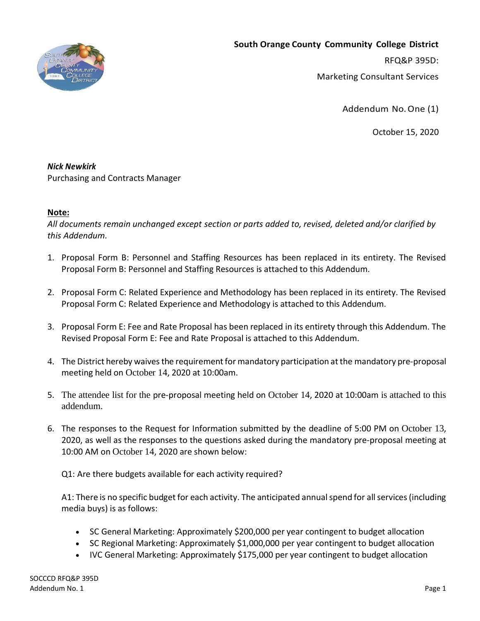

**South Orange County Community College District** RFQ&P 395D: Marketing Consultant Services

Addendum No.One (1)

October 15, 2020

#### *Nick Newkirk*

Purchasing and Contracts Manager

### **Note:**

*All documents remain unchanged except section or parts added to, revised, deleted and/or clarified by this Addendum.*

- 1. Proposal Form B: Personnel and Staffing Resources has been replaced in its entirety. The Revised Proposal Form B: Personnel and Staffing Resources is attached to this Addendum.
- 2. Proposal Form C: Related Experience and Methodology has been replaced in its entirety. The Revised Proposal Form C: Related Experience and Methodology is attached to this Addendum.
- 3. Proposal Form E: Fee and Rate Proposal has been replaced in its entirety through this Addendum. The Revised Proposal Form E: Fee and Rate Proposal is attached to this Addendum.
- 4. The District hereby waives the requirement for mandatory participation at the mandatory pre-proposal meeting held on October 14, 2020 at 10:00am.
- 5. The attendee list for the pre-proposal meeting held on October 14, 2020 at 10:00am is attached to this addendum.
- 6. The responses to the Request for Information submitted by the deadline of 5:00 PM on October 13, 2020, as well as the responses to the questions asked during the mandatory pre-proposal meeting at 10:00 AM on October 14, 2020 are shown below:

Q1: Are there budgets available for each activity required?

A1: There is no specific budget for each activity. The anticipated annual spend for all services (including media buys) is as follows:

- SC General Marketing: Approximately \$200,000 per year contingent to budget allocation
- SC Regional Marketing: Approximately \$1,000,000 per year contingent to budget allocation
- IVC General Marketing: Approximately \$175,000 per year contingent to budget allocation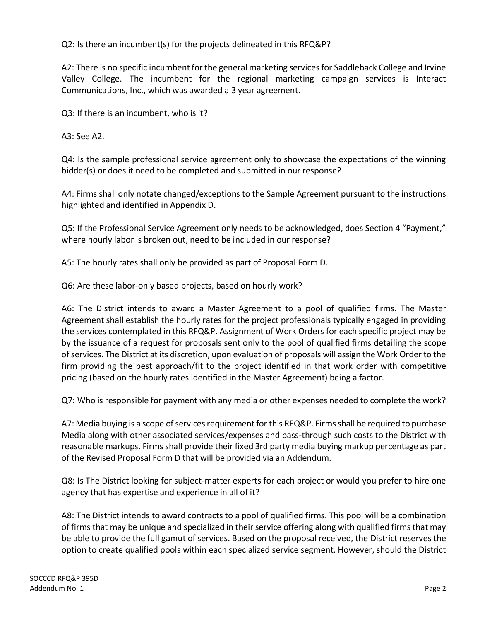Q2: Is there an incumbent(s) for the projects delineated in this RFQ&P?

A2: There is no specific incumbent for the general marketing services for Saddleback College and Irvine Valley College. The incumbent for the regional marketing campaign services is Interact Communications, Inc., which was awarded a 3 year agreement.

Q3: If there is an incumbent, who is it?

A3: See A2.

Q4: Is the sample professional service agreement only to showcase the expectations of the winning bidder(s) or does it need to be completed and submitted in our response?

A4: Firms shall only notate changed/exceptions to the Sample Agreement pursuant to the instructions highlighted and identified in Appendix D.

Q5: If the Professional Service Agreement only needs to be acknowledged, does Section 4 "Payment," where hourly labor is broken out, need to be included in our response?

A5: The hourly rates shall only be provided as part of Proposal Form D.

Q6: Are these labor-only based projects, based on hourly work?

A6: The District intends to award a Master Agreement to a pool of qualified firms. The Master Agreement shall establish the hourly rates for the project professionals typically engaged in providing the services contemplated in this RFQ&P. Assignment of Work Orders for each specific project may be by the issuance of a request for proposals sent only to the pool of qualified firms detailing the scope of services. The District at its discretion, upon evaluation of proposals will assign the Work Order to the firm providing the best approach/fit to the project identified in that work order with competitive pricing (based on the hourly rates identified in the Master Agreement) being a factor.

Q7: Who is responsible for payment with any media or other expenses needed to complete the work?

A7: Media buying is a scope of services requirement for this RFQ&P. Firms shall be required to purchase Media along with other associated services/expenses and pass-through such costs to the District with reasonable markups. Firms shall provide their fixed 3rd party media buying markup percentage as part of the Revised Proposal Form D that will be provided via an Addendum.

Q8: Is The District looking for subject-matter experts for each project or would you prefer to hire one agency that has expertise and experience in all of it?

A8: The District intends to award contracts to a pool of qualified firms. This pool will be a combination of firms that may be unique and specialized in their service offering along with qualified firms that may be able to provide the full gamut of services. Based on the proposal received, the District reserves the option to create qualified pools within each specialized service segment. However, should the District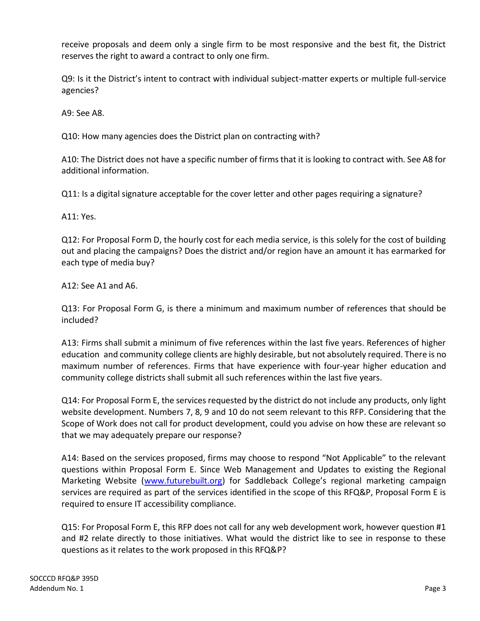receive proposals and deem only a single firm to be most responsive and the best fit, the District reserves the right to award a contract to only one firm.

Q9: Is it the District's intent to contract with individual subject-matter experts or multiple full-service agencies?

A9: See A8.

Q10: How many agencies does the District plan on contracting with?

A10: The District does not have a specific number of firms that it is looking to contract with. See A8 for additional information.

Q11: Is a digital signature acceptable for the cover letter and other pages requiring a signature?

A11: Yes.

Q12: For Proposal Form D, the hourly cost for each media service, is this solely for the cost of building out and placing the campaigns? Does the district and/or region have an amount it has earmarked for each type of media buy?

A12: See A1 and A6.

Q13: For Proposal Form G, is there a minimum and maximum number of references that should be included?

A13: Firms shall submit a minimum of five references within the last five years. References of higher education and community college clients are highly desirable, but not absolutely required. There is no maximum number of references. Firms that have experience with four-year higher education and community college districts shall submit all such references within the last five years.

Q14: For Proposal Form E, the services requested by the district do not include any products, only light website development. Numbers 7, 8, 9 and 10 do not seem relevant to this RFP. Considering that the Scope of Work does not call for product development, could you advise on how these are relevant so that we may adequately prepare our response?

A14: Based on the services proposed, firms may choose to respond "Not Applicable" to the relevant questions within Proposal Form E. Since Web Management and Updates to existing the Regional Marketing Website [\(www.futurebuilt.org](http://www.futurebuilt.org/)) for Saddleback College's regional marketing campaign services are required as part of the services identified in the scope of this RFQ&P, Proposal Form E is required to ensure IT accessibility compliance.

Q15: For Proposal Form E, this RFP does not call for any web development work, however question #1 and #2 relate directly to those initiatives. What would the district like to see in response to these questions as it relates to the work proposed in this RFQ&P?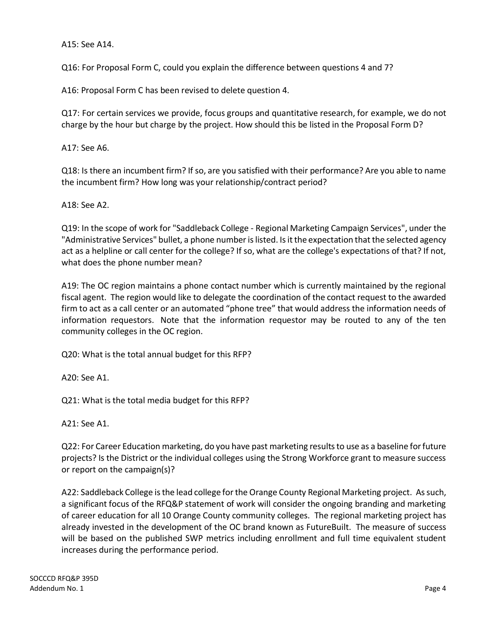A15: See A14.

Q16: For Proposal Form C, could you explain the difference between questions 4 and 7?

A16: Proposal Form C has been revised to delete question 4.

Q17: For certain services we provide, focus groups and quantitative research, for example, we do not charge by the hour but charge by the project. How should this be listed in the Proposal Form D?

A17: See A6.

Q18: Is there an incumbent firm? If so, are you satisfied with their performance? Are you able to name the incumbent firm? How long was your relationship/contract period?

A18: See A2.

Q19: In the scope of work for "Saddleback College - Regional Marketing Campaign Services", under the "Administrative Services" bullet, a phone number is listed. Is it the expectation that the selected agency act as a helpline or call center for the college? If so, what are the college's expectations of that? If not, what does the phone number mean?

A19: The OC region maintains a phone contact number which is currently maintained by the regional fiscal agent. The region would like to delegate the coordination of the contact request to the awarded firm to act as a call center or an automated "phone tree" that would address the information needs of information requestors. Note that the information requestor may be routed to any of the ten community colleges in the OC region.

Q20: What is the total annual budget for this RFP?

A20: See A1.

Q21: What is the total media budget for this RFP?

A21: See A1.

Q22: For Career Education marketing, do you have past marketing results to use as a baseline for future projects? Is the District or the individual colleges using the Strong Workforce grant to measure success or report on the campaign(s)?

A22: Saddleback College is the lead college for the Orange County Regional Marketing project. As such, a significant focus of the RFQ&P statement of work will consider the ongoing branding and marketing of career education for all 10 Orange County community colleges. The regional marketing project has already invested in the development of the OC brand known as FutureBuilt. The measure of success will be based on the published SWP metrics including enrollment and full time equivalent student increases during the performance period.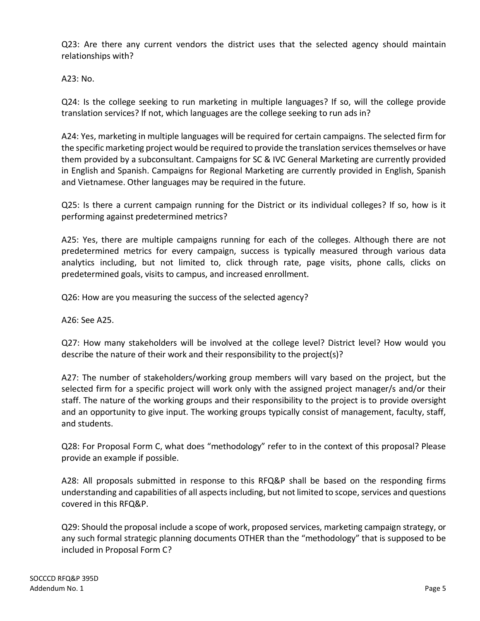Q23: Are there any current vendors the district uses that the selected agency should maintain relationships with?

A23: No.

Q24: Is the college seeking to run marketing in multiple languages? If so, will the college provide translation services? If not, which languages are the college seeking to run ads in?

A24: Yes, marketing in multiple languages will be required for certain campaigns. The selected firm for the specific marketing project would be required to provide the translation services themselves or have them provided by a subconsultant. Campaigns for SC & IVC General Marketing are currently provided in English and Spanish. Campaigns for Regional Marketing are currently provided in English, Spanish and Vietnamese. Other languages may be required in the future.

Q25: Is there a current campaign running for the District or its individual colleges? If so, how is it performing against predetermined metrics?

A25: Yes, there are multiple campaigns running for each of the colleges. Although there are not predetermined metrics for every campaign, success is typically measured through various data analytics including, but not limited to, click through rate, page visits, phone calls, clicks on predetermined goals, visits to campus, and increased enrollment.

Q26: How are you measuring the success of the selected agency?

A26: See A25.

Q27: How many stakeholders will be involved at the college level? District level? How would you describe the nature of their work and their responsibility to the project(s)?

A27: The number of stakeholders/working group members will vary based on the project, but the selected firm for a specific project will work only with the assigned project manager/s and/or their staff. The nature of the working groups and their responsibility to the project is to provide oversight and an opportunity to give input. The working groups typically consist of management, faculty, staff, and students.

Q28: For Proposal Form C, what does "methodology" refer to in the context of this proposal? Please provide an example if possible.

A28: All proposals submitted in response to this RFQ&P shall be based on the responding firms understanding and capabilities of all aspects including, but not limited to scope, services and questions covered in this RFQ&P.

Q29: Should the proposal include a scope of work, proposed services, marketing campaign strategy, or any such formal strategic planning documents OTHER than the "methodology" that is supposed to be included in Proposal Form C?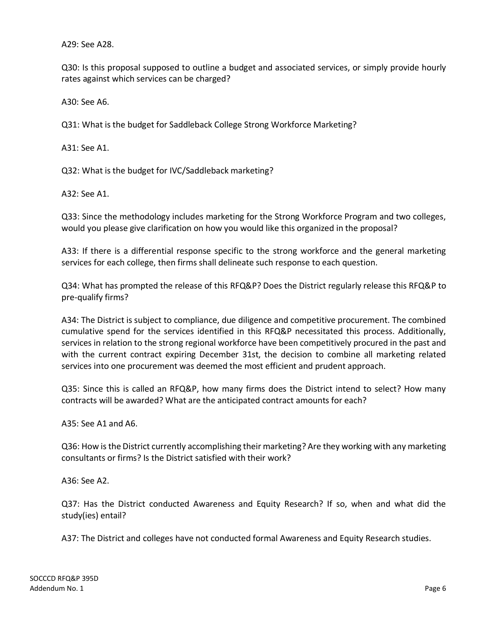A29: See A28.

Q30: Is this proposal supposed to outline a budget and associated services, or simply provide hourly rates against which services can be charged?

A30: See A6.

Q31: What is the budget for Saddleback College Strong Workforce Marketing?

A31: See A1.

Q32: What is the budget for IVC/Saddleback marketing?

A32: See A1.

Q33: Since the methodology includes marketing for the Strong Workforce Program and two colleges, would you please give clarification on how you would like this organized in the proposal?

A33: If there is a differential response specific to the strong workforce and the general marketing services for each college, then firms shall delineate such response to each question.

Q34: What has prompted the release of this RFQ&P? Does the District regularly release this RFQ&P to pre-qualify firms?

A34: The District is subject to compliance, due diligence and competitive procurement. The combined cumulative spend for the services identified in this RFQ&P necessitated this process. Additionally, services in relation to the strong regional workforce have been competitively procured in the past and with the current contract expiring December 31st, the decision to combine all marketing related services into one procurement was deemed the most efficient and prudent approach.

Q35: Since this is called an RFQ&P, how many firms does the District intend to select? How many contracts will be awarded? What are the anticipated contract amounts for each?

A35: See A1 and A6.

Q36: How is the District currently accomplishing their marketing? Are they working with any marketing consultants or firms? Is the District satisfied with their work?

A36: See A2.

Q37: Has the District conducted Awareness and Equity Research? If so, when and what did the study(ies) entail?

A37: The District and colleges have not conducted formal Awareness and Equity Research studies.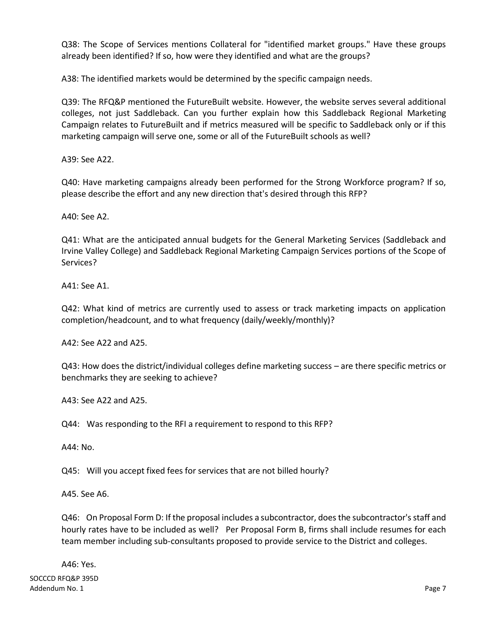Q38: The Scope of Services mentions Collateral for "identified market groups." Have these groups already been identified? If so, how were they identified and what are the groups?

A38: The identified markets would be determined by the specific campaign needs.

Q39: The RFQ&P mentioned the FutureBuilt website. However, the website serves several additional colleges, not just Saddleback. Can you further explain how this Saddleback Regional Marketing Campaign relates to FutureBuilt and if metrics measured will be specific to Saddleback only or if this marketing campaign will serve one, some or all of the FutureBuilt schools as well?

A39: See A22.

Q40: Have marketing campaigns already been performed for the Strong Workforce program? If so, please describe the effort and any new direction that's desired through this RFP?

A40: See A2.

Q41: What are the anticipated annual budgets for the General Marketing Services (Saddleback and Irvine Valley College) and Saddleback Regional Marketing Campaign Services portions of the Scope of Services?

A41: See A1.

Q42: What kind of metrics are currently used to assess or track marketing impacts on application completion/headcount, and to what frequency (daily/weekly/monthly)?

A42: See A22 and A25.

Q43: How does the district/individual colleges define marketing success – are there specific metrics or benchmarks they are seeking to achieve?

A43: See A22 and A25.

Q44: Was responding to the RFI a requirement to respond to this RFP?

A44: No.

Q45: Will you accept fixed fees for services that are not billed hourly?

A45. See A6.

Q46: On Proposal Form D: If the proposal includes a subcontractor, does the subcontractor's staff and hourly rates have to be included as well? Per Proposal Form B, firms shall include resumes for each team member including sub-consultants proposed to provide service to the District and colleges.

A46: Yes.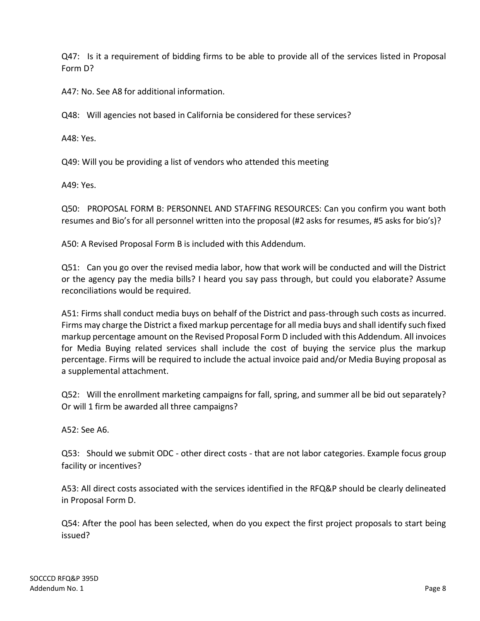Q47: Is it a requirement of bidding firms to be able to provide all of the services listed in Proposal Form D?

A47: No. See A8 for additional information.

Q48: Will agencies not based in California be considered for these services?

A48: Yes.

Q49: Will you be providing a list of vendors who attended this meeting

A49: Yes.

Q50: PROPOSAL FORM B: PERSONNEL AND STAFFING RESOURCES: Can you confirm you want both resumes and Bio's for all personnel written into the proposal (#2 asks for resumes, #5 asks for bio's)?

A50: A Revised Proposal Form B is included with this Addendum.

Q51: Can you go over the revised media labor, how that work will be conducted and will the District or the agency pay the media bills? I heard you say pass through, but could you elaborate? Assume reconciliations would be required.

A51: Firms shall conduct media buys on behalf of the District and pass-through such costs as incurred. Firms may charge the District a fixed markup percentage for all media buys and shall identify such fixed markup percentage amount on the Revised Proposal Form D included with this Addendum. All invoices for Media Buying related services shall include the cost of buying the service plus the markup percentage. Firms will be required to include the actual invoice paid and/or Media Buying proposal as a supplemental attachment.

Q52: Will the enrollment marketing campaigns for fall, spring, and summer all be bid out separately? Or will 1 firm be awarded all three campaigns?

A52: See A6.

Q53: Should we submit ODC - other direct costs - that are not labor categories. Example focus group facility or incentives?

A53: All direct costs associated with the services identified in the RFQ&P should be clearly delineated in Proposal Form D.

Q54: After the pool has been selected, when do you expect the first project proposals to start being issued?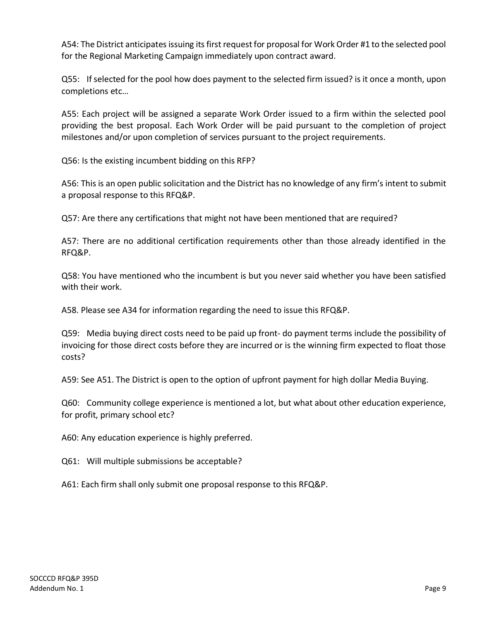A54: The District anticipates issuing its first request for proposal for Work Order #1 to the selected pool for the Regional Marketing Campaign immediately upon contract award.

Q55: If selected for the pool how does payment to the selected firm issued? is it once a month, upon completions etc…

A55: Each project will be assigned a separate Work Order issued to a firm within the selected pool providing the best proposal. Each Work Order will be paid pursuant to the completion of project milestones and/or upon completion of services pursuant to the project requirements.

Q56: Is the existing incumbent bidding on this RFP?

A56: This is an open public solicitation and the District has no knowledge of any firm's intent to submit a proposal response to this RFQ&P.

Q57: Are there any certifications that might not have been mentioned that are required?

A57: There are no additional certification requirements other than those already identified in the RFQ&P.

Q58: You have mentioned who the incumbent is but you never said whether you have been satisfied with their work.

A58. Please see A34 for information regarding the need to issue this RFQ&P.

Q59: Media buying direct costs need to be paid up front- do payment terms include the possibility of invoicing for those direct costs before they are incurred or is the winning firm expected to float those costs?

A59: See A51. The District is open to the option of upfront payment for high dollar Media Buying.

Q60: Community college experience is mentioned a lot, but what about other education experience, for profit, primary school etc?

A60: Any education experience is highly preferred.

Q61: Will multiple submissions be acceptable?

A61: Each firm shall only submit one proposal response to this RFQ&P.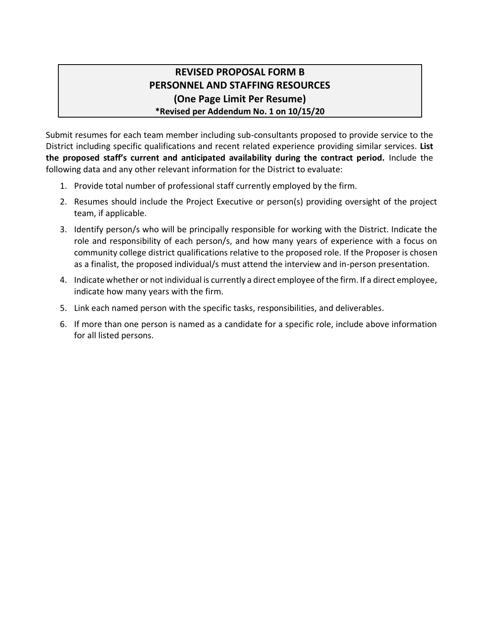# **REVISED PROPOSAL FORM B PERSONNEL AND STAFFING RESOURCES (One Page Limit Per Resume) \*Revised per Addendum No. 1 on 10/15/20**

Submit resumes for each team member including sub-consultants proposed to provide service to the District including specific qualifications and recent related experience providing similar services. **List the proposed staff's current and anticipated availability during the contract period.** Include the following data and any other relevant information for the District to evaluate:

- 1. Provide total number of professional staff currently employed by the firm.
- 2. Resumes should include the Project Executive or person(s) providing oversight of the project team, if applicable.
- 3. Identify person/s who will be principally responsible for working with the District. Indicate the role and responsibility of each person/s, and how many years of experience with a focus on community college district qualifications relative to the proposed role. If the Proposer is chosen as a finalist, the proposed individual/s must attend the interview and in-person presentation.
- 4. Indicate whether or not individual is currently a direct employee of the firm. If a direct employee, indicate how many years with the firm.
- 5. Link each named person with the specific tasks, responsibilities, and deliverables.
- 6. If more than one person is named as a candidate for a specific role, include above information for all listed persons.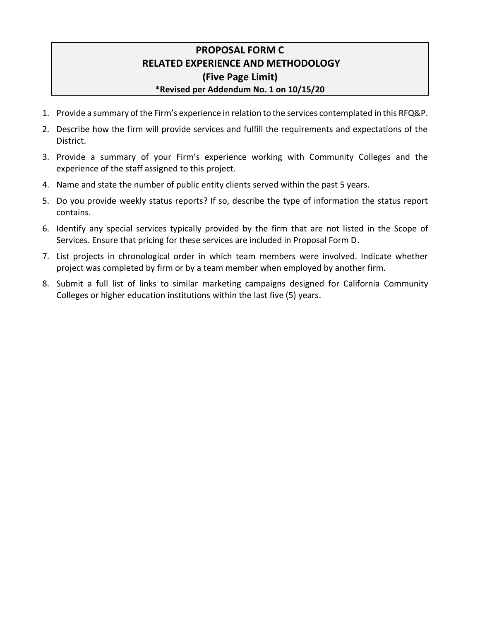## **PROPOSAL FORM C RELATED EXPERIENCE AND METHODOLOGY (Five Page Limit) \*Revised per Addendum No. 1 on 10/15/20**

- 1. Provide a summary of the Firm's experience in relation to the services contemplated in this RFQ&P.
- 2. Describe how the firm will provide services and fulfill the requirements and expectations of the District.
- 3. Provide a summary of your Firm's experience working with Community Colleges and the experience of the staff assigned to this project.
- 4. Name and state the number of public entity clients served within the past 5 years.
- 5. Do you provide weekly status reports? If so, describe the type of information the status report contains.
- 6. Identify any special services typically provided by the firm that are not listed in the Scope of Services. Ensure that pricing for these services are included in Proposal Form D.
- 7. List projects in chronological order in which team members were involved. Indicate whether project was completed by firm or by a team member when employed by another firm.
- 8. Submit a full list of links to similar marketing campaigns designed for California Community Colleges or higher education institutions within the last five (5) years.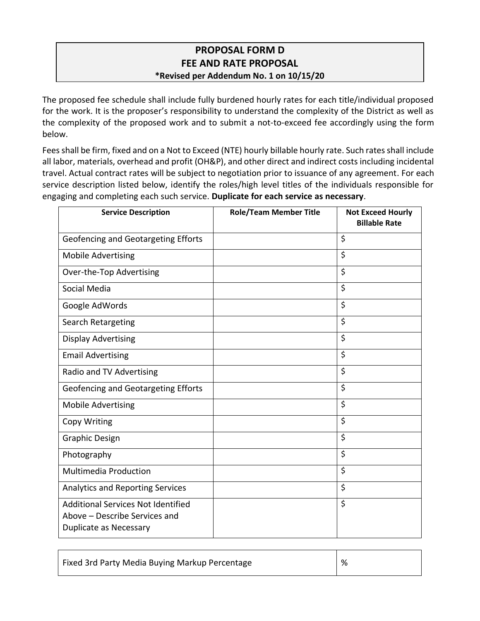## **PROPOSAL FORM D FEE AND RATE PROPOSAL \*Revised per Addendum No. 1 on 10/15/20**

The proposed fee schedule shall include fully burdened hourly rates for each title/individual proposed for the work. It is the proposer's responsibility to understand the complexity of the District as well as the complexity of the proposed work and to submit a not-to-exceed fee accordingly using the form below.

Fees shall be firm, fixed and on a Not to Exceed (NTE) hourly billable hourly rate. Such rates shall include all labor, materials, overhead and profit (OH&P), and other direct and indirect costs including incidental travel. Actual contract rates will be subject to negotiation prior to issuance of any agreement. For each service description listed below, identify the roles/high level titles of the individuals responsible for engaging and completing each such service. **Duplicate for each service as necessary**.

| <b>Service Description</b>                                                                                  | <b>Role/Team Member Title</b> | <b>Not Exceed Hourly</b><br><b>Billable Rate</b> |
|-------------------------------------------------------------------------------------------------------------|-------------------------------|--------------------------------------------------|
| Geofencing and Geotargeting Efforts                                                                         |                               | \$                                               |
| <b>Mobile Advertising</b>                                                                                   |                               | \$                                               |
| Over-the-Top Advertising                                                                                    |                               | \$                                               |
| Social Media                                                                                                |                               | \$                                               |
| Google AdWords                                                                                              |                               | \$                                               |
| Search Retargeting                                                                                          |                               | \$                                               |
| <b>Display Advertising</b>                                                                                  |                               | \$                                               |
| <b>Email Advertising</b>                                                                                    |                               | \$                                               |
| Radio and TV Advertising                                                                                    |                               | \$                                               |
| Geofencing and Geotargeting Efforts                                                                         |                               | \$                                               |
| <b>Mobile Advertising</b>                                                                                   |                               | \$                                               |
| Copy Writing                                                                                                |                               | \$                                               |
| <b>Graphic Design</b>                                                                                       |                               | \$                                               |
| Photography                                                                                                 |                               | \$                                               |
| <b>Multimedia Production</b>                                                                                |                               | \$                                               |
| Analytics and Reporting Services                                                                            |                               | \$                                               |
| <b>Additional Services Not Identified</b><br>Above - Describe Services and<br><b>Duplicate as Necessary</b> |                               | \$                                               |

| Fixed 3rd Party Media Buying Markup Percentage | % |
|------------------------------------------------|---|
|                                                |   |